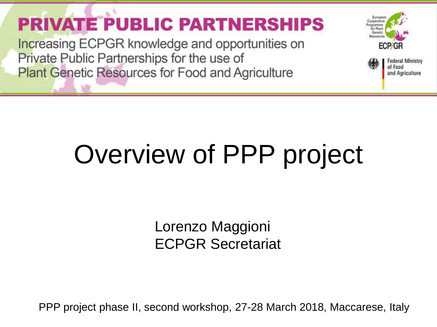**PRIVATE PUBLIC PARTNERSHIPS** 

**Increasing ECPGR knowledge and opportunities on** Private Public Partnerships for the use of **Plant Genetic Resources for Food and Agriculture** 



## Overview of PPP project

Lorenzo Maggioni ECPGR Secretariat

PPP project phase II, second workshop, 27-28 March 2018, Maccarese, Italy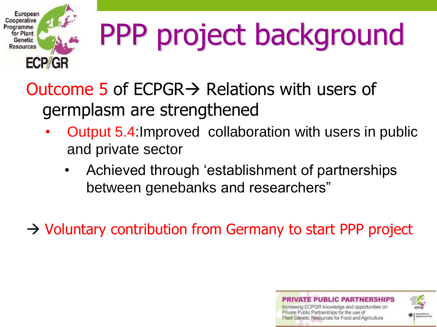

# PPP project background

Outcome 5 of ECPGR $\rightarrow$  Relations with users of germplasm are strengthened

- Output 5.4:Improved collaboration with users in public and private sector
	- Achieved through 'establishment of partnerships between genebanks and researchers"

 $\rightarrow$  Voluntary contribution from Germany to start PPP project

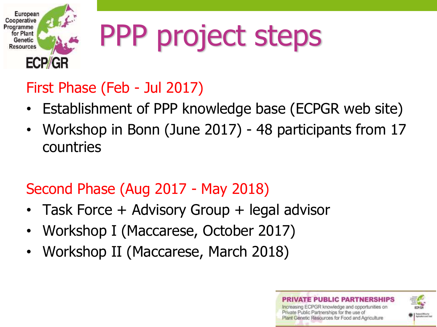

# PPP project steps

#### First Phase (Feb - Jul 2017)

- Establishment of PPP knowledge base (ECPGR web site)
- Workshop in Bonn (June 2017) 48 participants from 17 countries

#### Second Phase (Aug 2017 - May 2018)

- Task Force + Advisory Group + legal advisor
- Workshop I (Maccarese, October 2017)
- Workshop II (Maccarese, March 2018)

#### **PRIVATE PUBLIC PARTNERSHIPS** Increasing ECPGR knowledge and opportunities on Private Public Partnerships for the use of Plant Genetic Resources for Food and Agriculture **Agriculture** and Fass

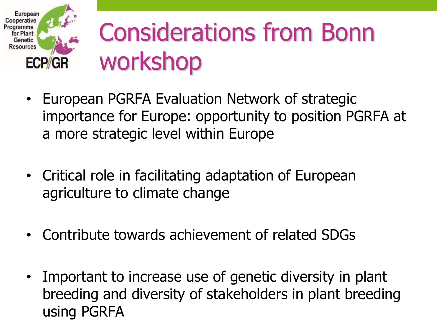

## Considerations from Bonn workshop

- European PGRFA Evaluation Network of strategic importance for Europe: opportunity to position PGRFA at a more strategic level within Europe
- Critical role in facilitating adaptation of European agriculture to climate change
- Contribute towards achievement of related SDGs
- Important to increase use of genetic diversity in plant breeding and diversity of stakeholders in plant breeding using PGRFA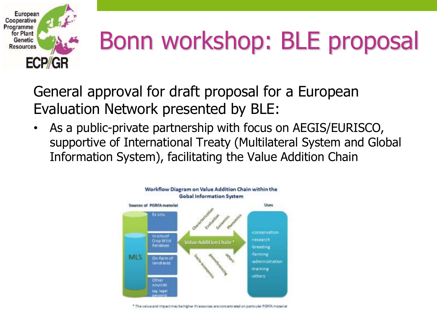

# Bonn workshop: BLE proposal

General approval for draft proposal for a European Evaluation Network presented by BLE:

• As a public-private partnership with focus on AEGIS/EURISCO, supportive of International Treaty (Multilateral System and Global Information System), facilitating the Value Addition Chain



\* The value and impactmay be higher if resources are concertrated on pericular PGRFA material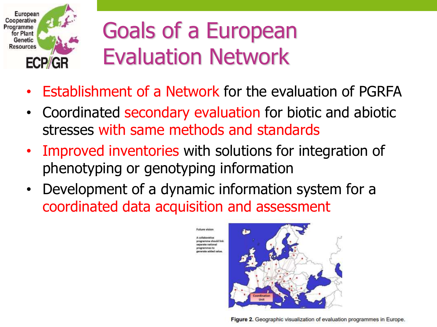

### Goals of a European Evaluation Network

- Establishment of a Network for the evaluation of PGRFA
- Coordinated secondary evaluation for biotic and abiotic stresses with same methods and standards
- Improved inventories with solutions for integration of phenotyping or genotyping information
- Development of a dynamic information system for a coordinated data acquisition and assessment

**Future vision** A collaborative



Figure 2. Geographic visualization of evaluation programmes in Europe.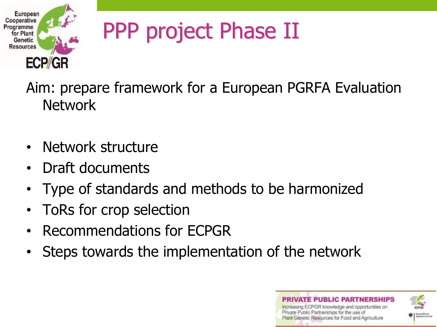

## PPP project Phase II

Aim: prepare framework for a European PGRFA Evaluation Network

- Network structure
- Draft documents
- Type of standards and methods to be harmonized
- ToRs for crop selection
- Recommendations for ECPGR
- Steps towards the implementation of the network

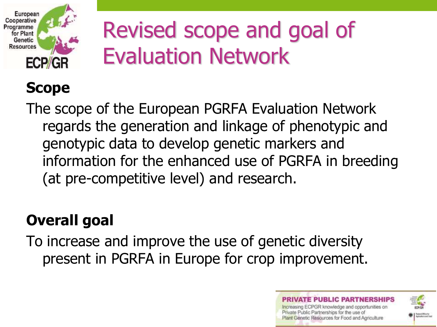

#### Revised scope and goal of Evaluation Network

#### **Scope**

The scope of the European PGRFA Evaluation Network regards the generation and linkage of phenotypic and genotypic data to develop genetic markers and information for the enhanced use of PGRFA in breeding (at pre-competitive level) and research.

#### **Overall goal**

To increase and improve the use of genetic diversity present in PGRFA in Europe for crop improvement.

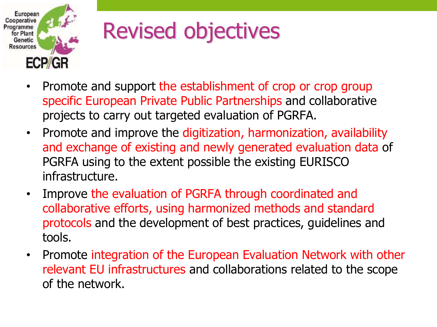

#### Revised objectives

- Promote and support the establishment of crop or crop group specific European Private Public Partnerships and collaborative projects to carry out targeted evaluation of PGRFA.
- Promote and improve the digitization, harmonization, availability and exchange of existing and newly generated evaluation data of PGRFA using to the extent possible the existing EURISCO infrastructure.
- Improve the evaluation of PGRFA through coordinated and collaborative efforts, using harmonized methods and standard protocols and the development of best practices, guidelines and tools.
- Promote integration of the European Evaluation Network with other relevant EU infrastructures and collaborations related to the scope of the network.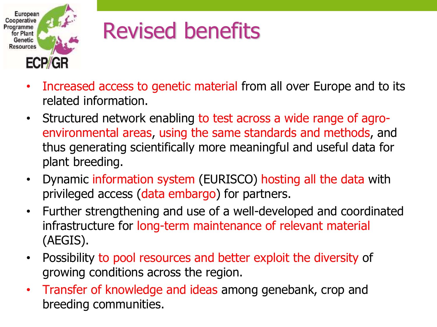

#### Revised benefits

- Increased access to genetic material from all over Europe and to its related information.
- Structured network enabling to test across a wide range of agroenvironmental areas, using the same standards and methods, and thus generating scientifically more meaningful and useful data for plant breeding.
- Dynamic information system (EURISCO) hosting all the data with privileged access (data embargo) for partners.
- Further strengthening and use of a well-developed and coordinated infrastructure for long-term maintenance of relevant material (AEGIS).
- Possibility to pool resources and better exploit the diversity of growing conditions across the region.
- Transfer of knowledge and ideas among genebank, crop and breeding communities.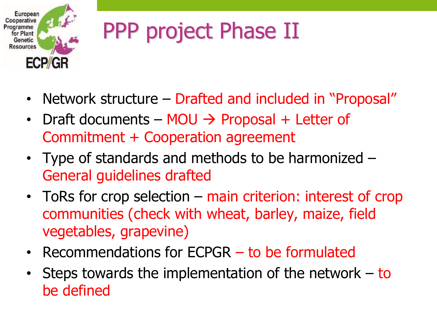

## PPP project Phase II

- Network structure Drafted and included in "Proposal"
- Draft documents MOU  $\rightarrow$  Proposal + Letter of Commitment + Cooperation agreement
- Type of standards and methods to be harmonized General guidelines drafted
- ToRs for crop selection main criterion: interest of crop communities (check with wheat, barley, maize, field vegetables, grapevine)
- Recommendations for ECPGR to be formulated
- Steps towards the implementation of the network  $-$  to be defined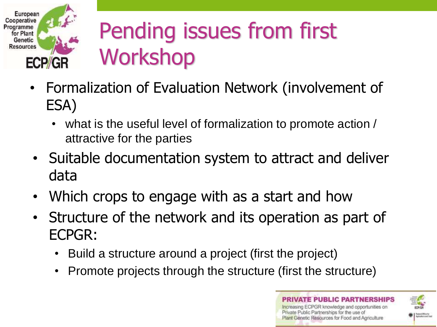

## Pending issues from first Workshop

- Formalization of Evaluation Network (involvement of ESA)
	- what is the useful level of formalization to promote action / attractive for the parties
- Suitable documentation system to attract and deliver data
- Which crops to engage with as a start and how
- Structure of the network and its operation as part of ECPGR:
	- Build a structure around a project (first the project)
	- Promote projects through the structure (first the structure)





**Agriculture and Fax**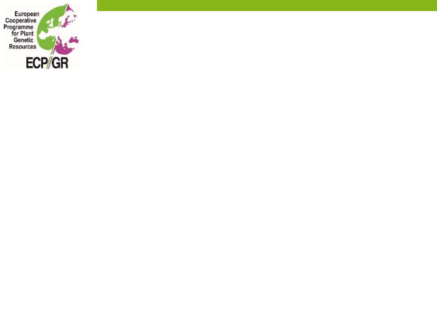